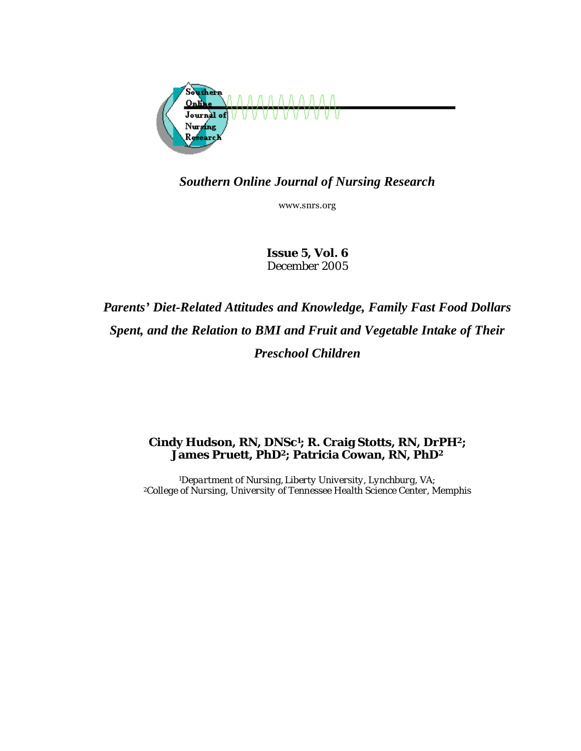

# *Southern Online Journal of Nursing Research*

www.snrs.org

*Issue 5, Vol. 6 December 2005* 

# *Parents' Diet-Related Attitudes and Knowledge, Family Fast Food Dollars Spent, and the Relation to BMI and Fruit and Vegetable Intake of Their Preschool Children*

## **Cindy Hudson, RN, DNSc1; R. Craig Stotts, RN, DrPH2; James Pruett, PhD2; Patricia Cowan, RN, PhD2**

*1Department of Nursing, Liberty University, Lynchburg, VA; 2College of Nursing, University of Tennessee Health Science Center, Memphis*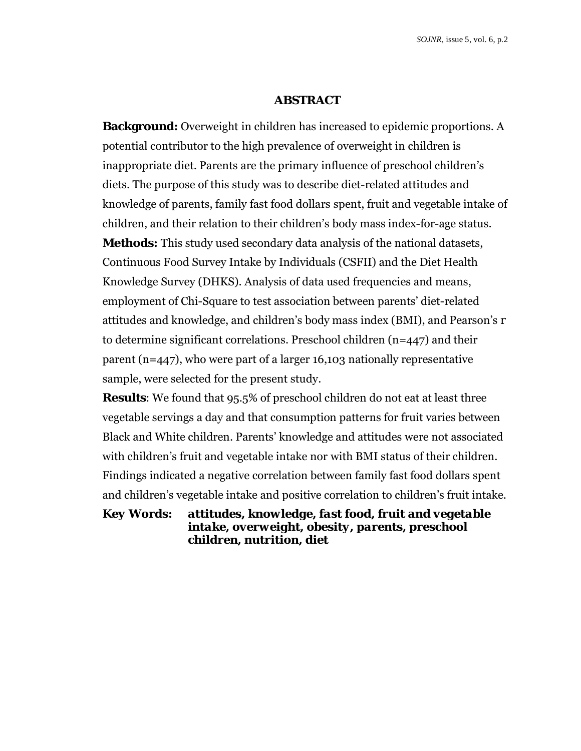#### **ABSTRACT**

**Background:** Overweight in children has increased to epidemic proportions. A potential contributor to the high prevalence of overweight in children is inappropriate diet. Parents are the primary influence of preschool children's diets. The purpose of this study was to describe diet-related attitudes and knowledge of parents, family fast food dollars spent, fruit and vegetable intake of children, and their relation to their children's body mass index-for-age status. **Methods:** This study used secondary data analysis of the national datasets, Continuous Food Survey Intake by Individuals (CSFII) and the Diet Health Knowledge Survey (DHKS). Analysis of data used frequencies and means, employment of Chi-Square to test association between parents' diet-related attitudes and knowledge, and children's body mass index (BMI), and Pearson's *r* to determine significant correlations. Preschool children (n=447) and their parent (n=447), who were part of a larger 16,103 nationally representative sample, were selected for the present study.

**Results**: We found that 95.5% of preschool children do not eat at least three vegetable servings a day and that consumption patterns for fruit varies between Black and White children. Parents' knowledge and attitudes were not associated with children's fruit and vegetable intake nor with BMI status of their children. Findings indicated a negative correlation between family fast food dollars spent and children's vegetable intake and positive correlation to children's fruit intake.

*Key Words: attitudes, knowledge, fast food, fruit and vegetable intake, overweight, obesity, parents, preschool children, nutrition, diet*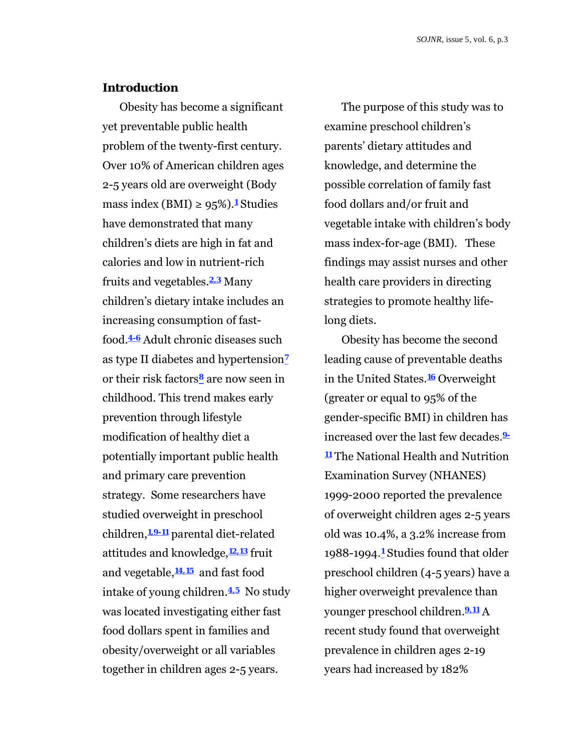#### **Introduction**

Obesity has become a significant yet preventable public health problem of the twenty-first century. Over 10% of American children ages 2-5 years old are overweight (Body mass index (BMI)  $\geq 95\%$ ).<sup>1</sup> Studies have demonstrated that many children's diets are high in fat and calories and low in nutrient-rich fruits and vegetables.**2,3** Many children's dietary intake includes an increasing consumption of fastfood.**4-6** Adult chronic diseases such as type II diabetes and hypertension**<sup>7</sup>** or their risk factors**8** are now seen in childhood. This trend makes early prevention through lifestyle modification of healthy diet a potentially important public health and primary care prevention strategy. Some researchers have studied overweight in preschool children,**1,9-11** parental diet-related attitudes and knowledge,**12,13** fruit and vegetable,**14,15** and fast food intake of young children.**4,5** No study was located investigating either fast food dollars spent in families and obesity/overweight or all variables together in children ages 2-5 years.

The purpose of this study was to examine preschool children's parents' dietary attitudes and knowledge, and determine the possible correlation of family fast food dollars and/or fruit and vegetable intake with children's body mass index-for-age (BMI). These findings may assist nurses and other health care providers in directing strategies to promote healthy lifelong diets.

Obesity has become the second leading cause of preventable deaths in the United States.**16** Overweight (greater or equal to 95% of the gender-specific BMI) in children has increased over the last few decades.**9- <sup>11</sup>** The National Health and Nutrition Examination Survey (NHANES) 1999-2000 reported the prevalence of overweight children ages 2-5 years old was 10.4%, a 3.2% increase from 1988-1994.**1** Studies found that older preschool children (4-5 years) have a higher overweight prevalence than younger preschool children.**9,11** A recent study found that overweight prevalence in children ages 2-19 years had increased by 182%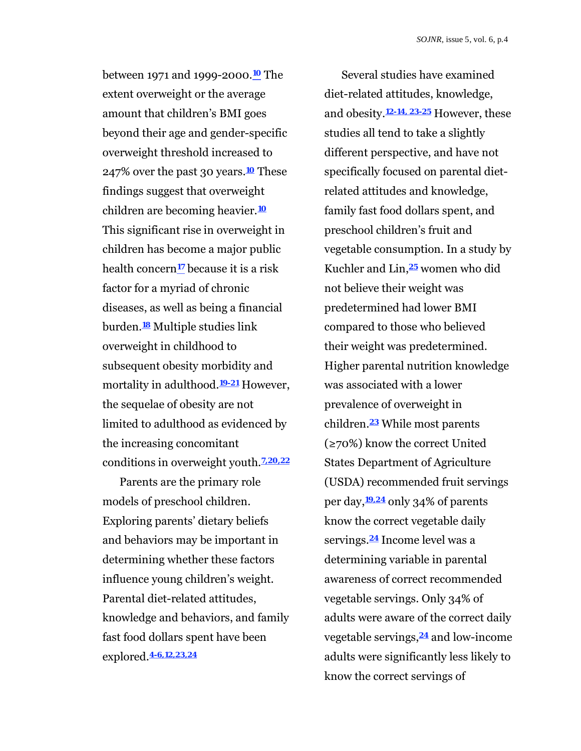between 1971 and 1999-2000.**10** The extent overweight or the average amount that children's BMI goes beyond their age and gender-specific overweight threshold increased to 247% over the past 30 years.**10** These findings suggest that overweight children are becoming heavier.**<sup>10</sup>** This significant rise in overweight in children has become a major public health concern**17** because it is a risk factor for a myriad of chronic diseases, as well as being a financial burden.**18** Multiple studies link overweight in childhood to subsequent obesity morbidity and mortality in adulthood.**19-21** However, the sequelae of obesity are not limited to adulthood as evidenced by the increasing concomitant conditions in overweight youth.**7,20,22**

Parents are the primary role models of preschool children. Exploring parents' dietary beliefs and behaviors may be important in determining whether these factors influence young children's weight. Parental diet-related attitudes, knowledge and behaviors, and family fast food dollars spent have been explored.**4-6,12,23,24**

Several studies have examined diet-related attitudes, knowledge, and obesity.**12-14, 23-25** However, these studies all tend to take a slightly different perspective, and have not specifically focused on parental dietrelated attitudes and knowledge, family fast food dollars spent, and preschool children's fruit and vegetable consumption. In a study by Kuchler and Lin,**25** women who did not believe their weight was predetermined had lower BMI compared to those who believed their weight was predetermined. Higher parental nutrition knowledge was associated with a lower prevalence of overweight in children.**23** While most parents  $(270%)$  know the correct United States Department of Agriculture (USDA) recommended fruit servings per day,**19,24** only 34% of parents know the correct vegetable daily servings.**24** Income level was a determining variable in parental awareness of correct recommended vegetable servings. Only 34% of adults were aware of the correct daily vegetable servings,**24** and low-income adults were significantly less likely to know the correct servings of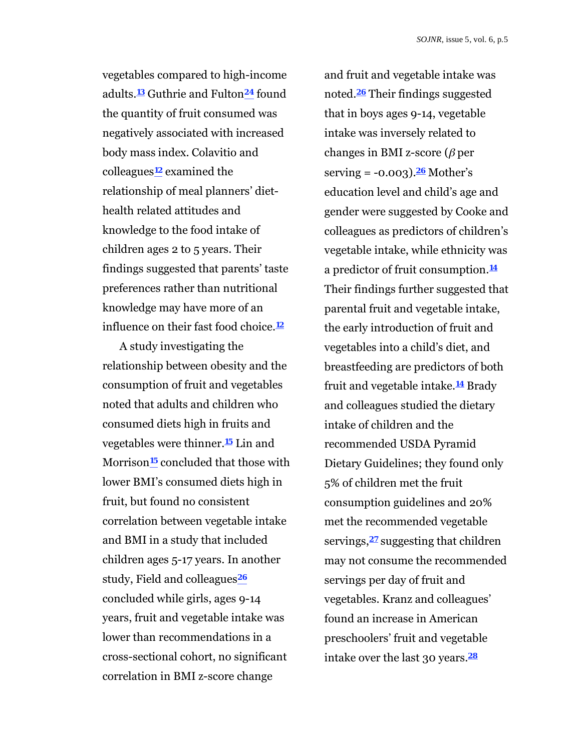vegetables compared to high-income adults.**13** Guthrie and Fulton**24** found the quantity of fruit consumed was negatively associated with increased body mass index. Colavitio and colleagues**12** examined the relationship of meal planners' diethealth related attitudes and knowledge to the food intake of children ages 2 to 5 years. Their findings suggested that parents' taste preferences rather than nutritional knowledge may have more of an influence on their fast food choice.**<sup>12</sup>**

A study investigating the relationship between obesity and the consumption of fruit and vegetables noted that adults and children who consumed diets high in fruits and vegetables were thinner.**15** Lin and Morrison**15** concluded that those with lower BMI's consumed diets high in fruit, but found no consistent correlation between vegetable intake and BMI in a study that included children ages 5-17 years. In another study, Field and colleagues**<sup>26</sup>** concluded while girls, ages 9-14 years, fruit and vegetable intake was lower than recommendations in a cross-sectional cohort, no significant correlation in BMI z-score change

and fruit and vegetable intake was noted.**26** Their findings suggested that in boys ages 9-14, vegetable intake was inversely related to changes in BMI z-score  $(\beta)$  per serving = -0.003).**26** Mother's education level and child's age and gender were suggested by Cooke and colleagues as predictors of children's vegetable intake, while ethnicity was a predictor of fruit consumption.**<sup>14</sup>** Their findings further suggested that parental fruit and vegetable intake, the early introduction of fruit and vegetables into a child's diet, and breastfeeding are predictors of both fruit and vegetable intake.**14** Brady and colleagues studied the dietary intake of children and the recommended USDA Pyramid Dietary Guidelines; they found only 5% of children met the fruit consumption guidelines and 20% met the recommended vegetable servings,**27** suggesting that children may not consume the recommended servings per day of fruit and vegetables. Kranz and colleagues' found an increase in American preschoolers' fruit and vegetable intake over the last 30 years.**28**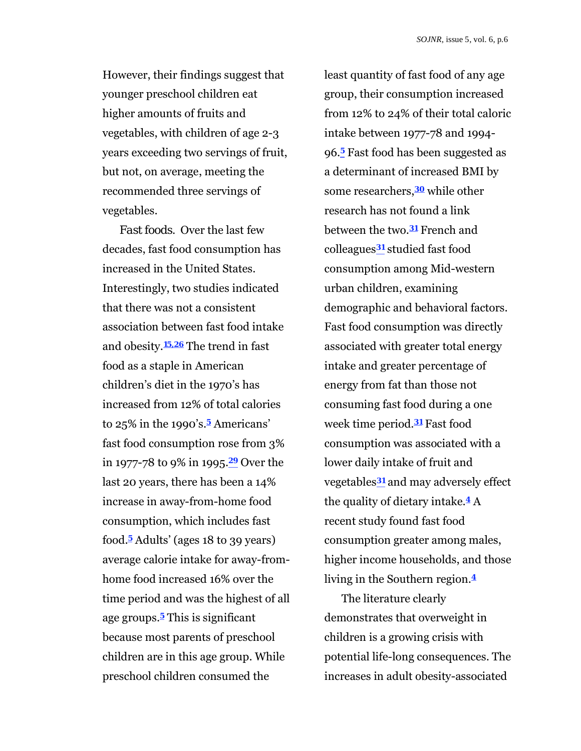However, their findings suggest that younger preschool children eat higher amounts of fruits and vegetables, with children of age 2-3 years exceeding two servings of fruit, but not, on average, meeting the recommended three servings of vegetables.

*Fast foods.* Over the last few decades, fast food consumption has increased in the United States. Interestingly, two studies indicated that there was not a consistent association between fast food intake and obesity.**15,26** The trend in fast food as a staple in American children's diet in the 1970's has increased from 12% of total calories to 25% in the 1990's.**5** Americans' fast food consumption rose from 3% in 1977-78 to 9% in 1995.**29** Over the last 20 years, there has been a 14% increase in away-from-home food consumption, which includes fast food.**5** Adults' (ages 18 to 39 years) average calorie intake for away-fromhome food increased 16% over the time period and was the highest of all age groups.**5** This is significant because most parents of preschool children are in this age group. While preschool children consumed the

least quantity of fast food of any age group, their consumption increased from 12% to 24% of their total caloric intake between 1977-78 and 1994- 96.**5** Fast food has been suggested as a determinant of increased BMI by some researchers,**30** while other research has not found a link between the two.**31** French and colleagues**31** studied fast food consumption among Mid-western urban children, examining demographic and behavioral factors. Fast food consumption was directly associated with greater total energy intake and greater percentage of energy from fat than those not consuming fast food during a one week time period.**31** Fast food consumption was associated with a lower daily intake of fruit and vegetables**31** and may adversely effect the quality of dietary intake.**4** A recent study found fast food consumption greater among males, higher income households, and those living in the Southern region.**<sup>4</sup>**

The literature clearly demonstrates that overweight in children is a growing crisis with potential life-long consequences. The increases in adult obesity-associated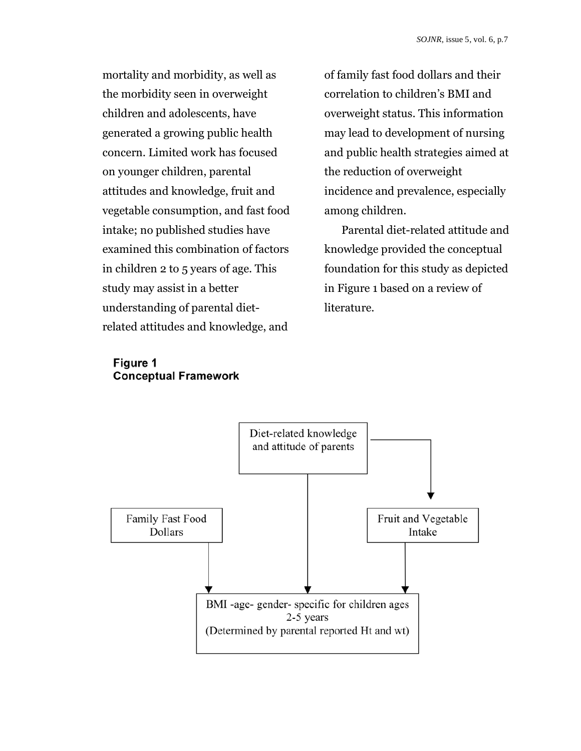mortality and morbidity, as well as the morbidity seen in overweight children and adolescents, have generated a growing public health concern. Limited work has focused on younger children, parental attitudes and knowledge, fruit and vegetable consumption, and fast food intake; no published studies have examined this combination of factors in children 2 to 5 years of age. This study may assist in a better understanding of parental dietrelated attitudes and knowledge, and

of family fast food dollars and their correlation to children's BMI and overweight status. This information may lead to development of nursing and public health strategies aimed at the reduction of overweight incidence and prevalence, especially among children.

Parental diet-related attitude and knowledge provided the conceptual foundation for this study as depicted in Figure 1 based on a review of literature.

## **Figure 1 Conceptual Framework**

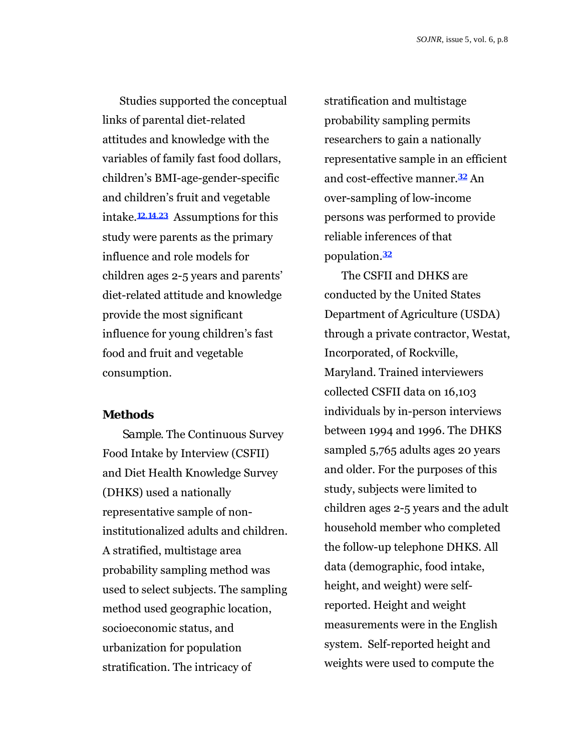Studies supported the conceptual links of parental diet-related attitudes and knowledge with the variables of family fast food dollars, children's BMI-age-gender-specific and children's fruit and vegetable intake.**12,14**,**23** Assumptions for this study were parents as the primary influence and role models for children ages 2-5 years and parents' diet-related attitude and knowledge provide the most significant influence for young children's fast food and fruit and vegetable consumption.

#### **Methods**

*Sample.* The Continuous Survey Food Intake by Interview (CSFII) and Diet Health Knowledge Survey (DHKS) used a nationally representative sample of noninstitutionalized adults and children. A stratified, multistage area probability sampling method was used to select subjects. The sampling method used geographic location, socioeconomic status, and urbanization for population stratification. The intricacy of

stratification and multistage probability sampling permits researchers to gain a nationally representative sample in an efficient and cost-effective manner.**32** An over-sampling of low-income persons was performed to provide reliable inferences of that population.**<sup>32</sup>**

The CSFII and DHKS are conducted by the United States Department of Agriculture (USDA) through a private contractor, Westat, Incorporated, of Rockville, Maryland. Trained interviewers collected CSFII data on 16,103 individuals by in-person interviews between 1994 and 1996. The DHKS sampled 5,765 adults ages 20 years and older. For the purposes of this study, subjects were limited to children ages 2-5 years and the adult household member who completed the follow-up telephone DHKS. All data (demographic, food intake, height, and weight) were selfreported. Height and weight measurements were in the English system. Self-reported height and weights were used to compute the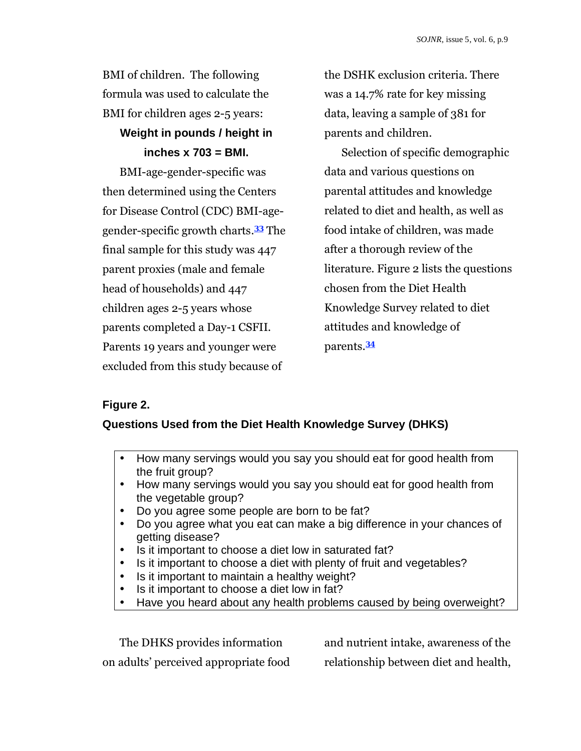BMI of children. The following formula was used to calculate the BMI for children ages 2-5 years:

# **Weight in pounds / height in inches x 703 = BMI.**

BMI-age-gender-specific was then determined using the Centers for Disease Control (CDC) BMI-agegender-specific growth charts.**33** The final sample for this study was 447 parent proxies (male and female head of households) and 447 children ages 2-5 years whose parents completed a Day-1 CSFII. Parents 19 years and younger were excluded from this study because of

the DSHK exclusion criteria. There was a 14.7% rate for key missing data, leaving a sample of 381 for parents and children.

Selection of specific demographic data and various questions on parental attitudes and knowledge related to diet and health, as well as food intake of children, was made after a thorough review of the literature. Figure 2 lists the questions chosen from the Diet Health Knowledge Survey related to diet attitudes and knowledge of parents.**<sup>34</sup>**

## **Figure 2.**

## **Questions Used from the Diet Health Knowledge Survey (DHKS)**

- How many servings would you say you should eat for good health from the fruit group?
- How many servings would you say you should eat for good health from the vegetable group?
- Do you agree some people are born to be fat?
- Do you agree what you eat can make a big difference in your chances of getting disease?
- Is it important to choose a diet low in saturated fat?
- Is it important to choose a diet with plenty of fruit and vegetables?
- Is it important to maintain a healthy weight?
- Is it important to choose a diet low in fat?
- Have you heard about any health problems caused by being overweight?

The DHKS provides information on adults' perceived appropriate food and nutrient intake, awareness of the relationship between diet and health,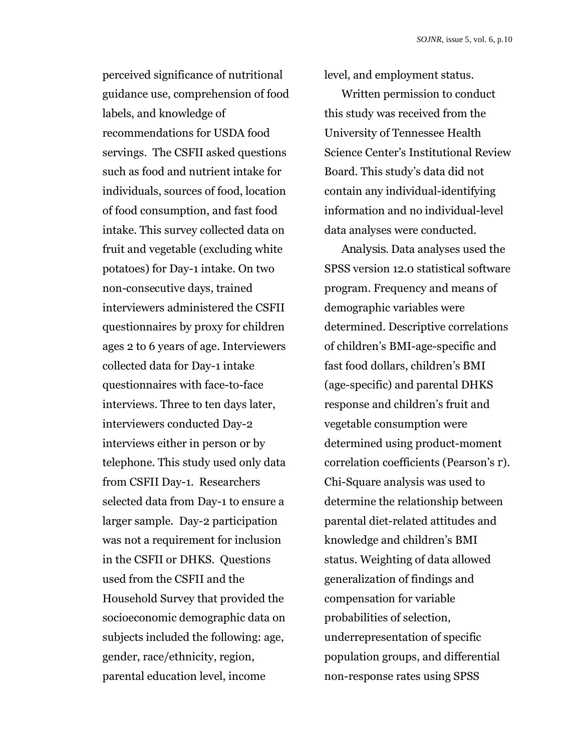perceived significance of nutritional guidance use, comprehension of food labels, and knowledge of recommendations for USDA food servings. The CSFII asked questions such as food and nutrient intake for individuals, sources of food, location of food consumption, and fast food intake. This survey collected data on fruit and vegetable (excluding white potatoes) for Day-1 intake. On two non-consecutive days, trained interviewers administered the CSFII questionnaires by proxy for children ages 2 to 6 years of age. Interviewers collected data for Day-1 intake questionnaires with face-to-face interviews. Three to ten days later, interviewers conducted Day-2 interviews either in person or by telephone. This study used only data from CSFII Day-1. Researchers selected data from Day-1 to ensure a larger sample. Day-2 participation was not a requirement for inclusion in the CSFII or DHKS. Questions used from the CSFII and the Household Survey that provided the socioeconomic demographic data on subjects included the following: age, gender, race/ethnicity, region, parental education level, income

level, and employment status.

Written permission to conduct this study was received from the University of Tennessee Health Science Center's Institutional Review Board. This study's data did not contain any individual-identifying information and no individual-level data analyses were conducted.

*Analysis.* Data analyses used the SPSS version 12.0 statistical software program. Frequency and means of demographic variables were determined. Descriptive correlations of children's BMI-age-specific and fast food dollars, children's BMI (age-specific) and parental DHKS response and children's fruit and vegetable consumption were determined using product-moment correlation coefficients (Pearson's *r*). Chi-Square analysis was used to determine the relationship between parental diet-related attitudes and knowledge and children's BMI status. Weighting of data allowed generalization of findings and compensation for variable probabilities of selection, underrepresentation of specific population groups, and differential non-response rates using SPSS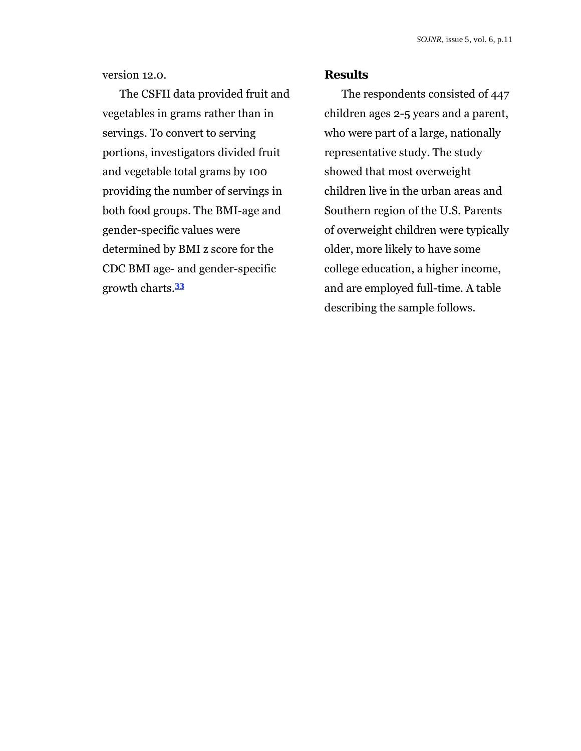version 12.0.

The CSFII data provided fruit and vegetables in grams rather than in servings. To convert to serving portions, investigators divided fruit and vegetable total grams by 100 providing the number of servings in both food groups. The BMI-age and gender-specific values were determined by BMI z score for the CDC BMI age- and gender-specific growth charts.**<sup>33</sup>**

#### **Results**

The respondents consisted of 447 children ages 2-5 years and a parent, who were part of a large, nationally representative study. The study showed that most overweight children live in the urban areas and Southern region of the U.S. Parents of overweight children were typically older, more likely to have some college education, a higher income, and are employed full-time. A table describing the sample follows.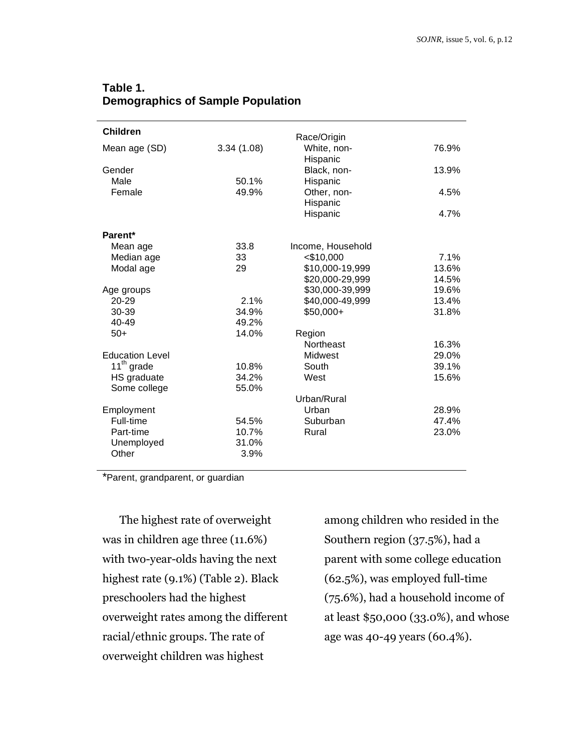| Table 1.                                 |  |
|------------------------------------------|--|
| <b>Demographics of Sample Population</b> |  |
|                                          |  |

| <b>Children</b>        |            | Race/Origin             |       |
|------------------------|------------|-------------------------|-------|
| Mean age (SD)          | 3.34(1.08) | White, non-<br>Hispanic | 76.9% |
| Gender                 |            | Black, non-             | 13.9% |
| Male                   | 50.1%      | Hispanic                |       |
| Female                 | 49.9%      | Other, non-             | 4.5%  |
|                        |            | Hispanic                |       |
|                        |            | Hispanic                | 4.7%  |
| Parent*                |            |                         |       |
| Mean age               | 33.8       | Income, Household       |       |
| Median age             | 33         | $<$ \$10,000            | 7.1%  |
| Modal age              | 29         | \$10,000-19,999         | 13.6% |
|                        |            | \$20,000-29,999         | 14.5% |
| Age groups             |            | \$30,000-39,999         | 19.6% |
| 20-29                  | 2.1%       | \$40,000-49,999         | 13.4% |
| 30-39                  | 34.9%      | $$50,000+$              | 31.8% |
| 40-49                  | 49.2%      |                         |       |
| $50+$                  | 14.0%      | Region                  |       |
|                        |            | Northeast               | 16.3% |
| <b>Education Level</b> |            | Midwest                 | 29.0% |
| 11 <sup>th</sup> grade | 10.8%      | South                   | 39.1% |
| HS graduate            | 34.2%      | West                    | 15.6% |
| Some college           | 55.0%      |                         |       |
|                        |            | Urban/Rural             |       |
| Employment             |            | Urban                   | 28.9% |
| Full-time              | 54.5%      | Suburban                | 47.4% |
| Part-time              | 10.7%      | Rural                   | 23.0% |
| Unemployed             | 31.0%      |                         |       |
| Other                  | 3.9%       |                         |       |

\*Parent, grandparent, or guardian

The highest rate of overweight was in children age three (11.6%) with two-year-olds having the next highest rate (9.1%) (Table 2). Black preschoolers had the highest overweight rates among the different racial/ethnic groups. The rate of overweight children was highest

among children who resided in the Southern region (37.5%), had a parent with some college education (62.5%), was employed full-time (75.6%), had a household income of at least \$50,000 (33.0%), and whose age was 40-49 years (60.4%).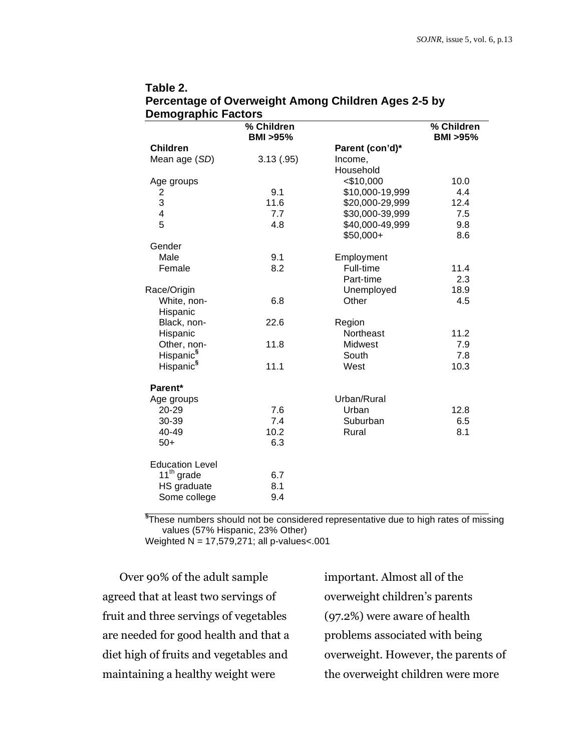| υθιπογιαριπό Γαδιοιδ    |                                  |                 |                                  |
|-------------------------|----------------------------------|-----------------|----------------------------------|
|                         | % Children<br><b>BMI &gt;95%</b> |                 | % Children<br><b>BMI &gt;95%</b> |
| <b>Children</b>         |                                  | Parent (con'd)* |                                  |
| Mean age (SD)           | 3.13(.95)                        | Income,         |                                  |
|                         |                                  | Household       |                                  |
| Age groups              |                                  | $<$ \$10,000    | 10.0                             |
| 2                       | 9.1                              | \$10,000-19,999 | 4.4                              |
| 3                       | 11.6                             | \$20,000-29,999 | 12.4                             |
| $\overline{\mathbf{4}}$ | 7.7                              | \$30,000-39,999 | 7.5                              |
| 5                       | 4.8                              | \$40,000-49,999 | 9.8                              |
|                         |                                  | $$50,000+$      | 8.6                              |
| Gender                  |                                  |                 |                                  |
| Male                    | 9.1                              | Employment      |                                  |
| Female                  | 8.2                              | Full-time       | 11.4                             |
|                         |                                  | Part-time       | 2.3                              |
| Race/Origin             |                                  | Unemployed      | 18.9                             |
| White, non-             | 6.8                              | Other           | 4.5                              |
| Hispanic                |                                  |                 |                                  |
| Black, non-             | 22.6                             | Region          |                                  |
| Hispanic                |                                  | Northeast       | 11.2                             |
| Other, non-             | 11.8                             | Midwest         | 7.9                              |
| Hispanic <sup>§</sup>   |                                  | South           | 7.8                              |
| Hispanic <sup>§</sup>   | 11.1                             | West            | 10.3                             |
| Parent*                 |                                  |                 |                                  |
| Age groups              |                                  | Urban/Rural     |                                  |
| 20-29                   | 7.6                              | Urban           | 12.8                             |
| 30-39                   | 7.4                              | Suburban        | 6.5                              |
| 40-49                   | 10.2                             | Rural           | 8.1                              |
| $50+$                   | 6.3                              |                 |                                  |
| <b>Education Level</b>  |                                  |                 |                                  |
| $11^{th}$ grade         | 6.7                              |                 |                                  |
| HS graduate             | 8.1                              |                 |                                  |
| Some college            | 9.4                              |                 |                                  |

## **Table 2. Percentage of Overweight Among Children Ages 2-5 by Demographic Factors**

 **§** These numbers should not be considered representative due to high rates of missing values (57% Hispanic, 23% Other)

Weighted N = 17,579,271; all p-values<.001

Over 90% of the adult sample agreed that at least two servings of fruit and three servings of vegetables are needed for good health and that a diet high of fruits and vegetables and maintaining a healthy weight were

important. Almost all of the overweight children's parents (97.2%) were aware of health problems associated with being overweight. However, the parents of the overweight children were more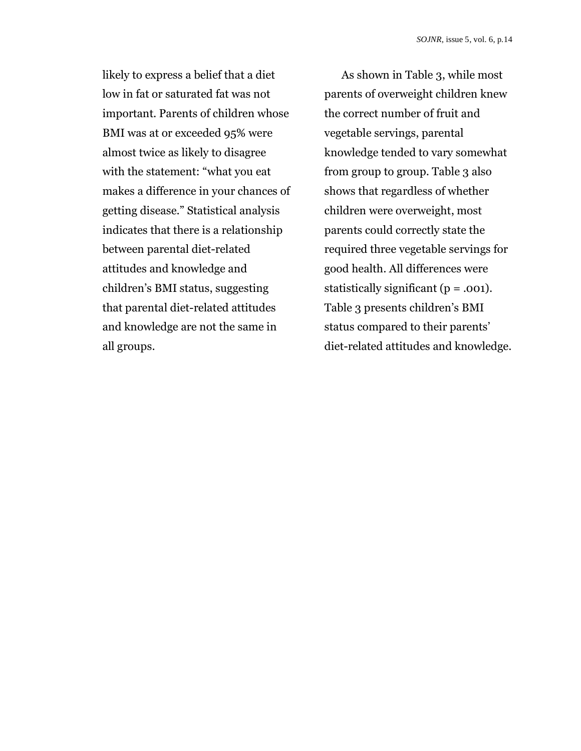likely to express a belief that a diet low in fat or saturated fat was not important. Parents of children whose BMI was at or exceeded 95% were almost twice as likely to disagree with the statement: "what you eat makes a difference in your chances of getting disease." Statistical analysis indicates that there is a relationship between parental diet-related attitudes and knowledge and children's BMI status, suggesting that parental diet-related attitudes and knowledge are not the same in all groups.

As shown in Table 3, while most parents of overweight children knew the correct number of fruit and vegetable servings, parental knowledge tended to vary somewhat from group to group. Table 3 also shows that regardless of whether children were overweight, most parents could correctly state the required three vegetable servings for good health. All differences were statistically significant  $(p = .001)$ . Table 3 presents children's BMI status compared to their parents' diet-related attitudes and knowledge.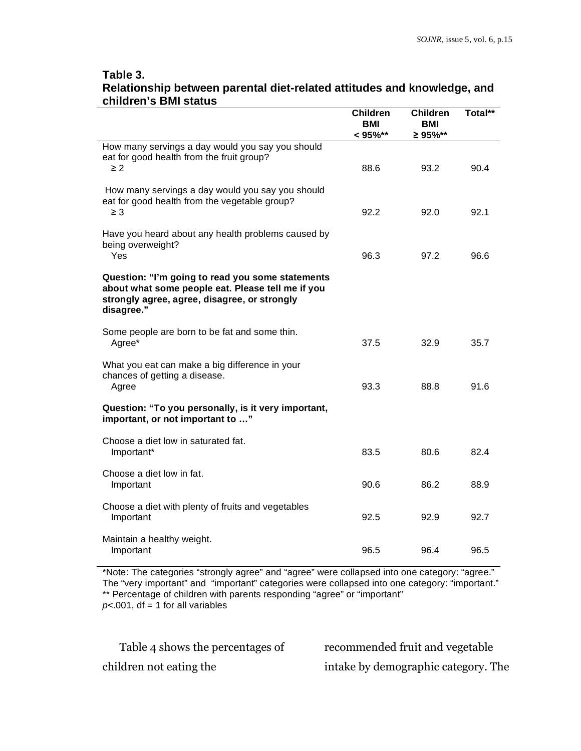## **Table 3. Relationship between parental diet-related attitudes and knowledge, and children's BMI status**

|                                                                                                                                                                     | <b>Children</b><br>BMI<br>$< 95\%$ ** | <b>Children</b><br><b>BMI</b><br>≥ 95%** | Total** |
|---------------------------------------------------------------------------------------------------------------------------------------------------------------------|---------------------------------------|------------------------------------------|---------|
| How many servings a day would you say you should<br>eat for good health from the fruit group?<br>$\geq 2$                                                           | 88.6                                  | 93.2                                     | 90.4    |
| How many servings a day would you say you should<br>eat for good health from the vegetable group?<br>$\geq$ 3                                                       | 92.2                                  | 92.0                                     | 92.1    |
| Have you heard about any health problems caused by<br>being overweight?<br>Yes                                                                                      | 96.3                                  | 97.2                                     | 96.6    |
| Question: "I'm going to read you some statements<br>about what some people eat. Please tell me if you<br>strongly agree, agree, disagree, or strongly<br>disagree." |                                       |                                          |         |
| Some people are born to be fat and some thin.<br>Agree*                                                                                                             | 37.5                                  | 32.9                                     | 35.7    |
| What you eat can make a big difference in your<br>chances of getting a disease.<br>Agree                                                                            | 93.3                                  | 88.8                                     | 91.6    |
| Question: "To you personally, is it very important,<br>important, or not important to "                                                                             |                                       |                                          |         |
| Choose a diet low in saturated fat.<br>Important*                                                                                                                   | 83.5                                  | 80.6                                     | 82.4    |
| Choose a diet low in fat.<br>Important                                                                                                                              | 90.6                                  | 86.2                                     | 88.9    |
| Choose a diet with plenty of fruits and vegetables<br>Important                                                                                                     | 92.5                                  | 92.9                                     | 92.7    |
| Maintain a healthy weight.<br>Important                                                                                                                             | 96.5                                  | 96.4                                     | 96.5    |

\*Note: The categories "strongly agree" and "agree" were collapsed into one category: "agree." The "very important" and "important" categories were collapsed into one category: "important." \*\* Percentage of children with parents responding "agree" or "important"  $p$ <.001, df = 1 for all variables

Table 4 shows the percentages of children not eating the

recommended fruit and vegetable intake by demographic category. The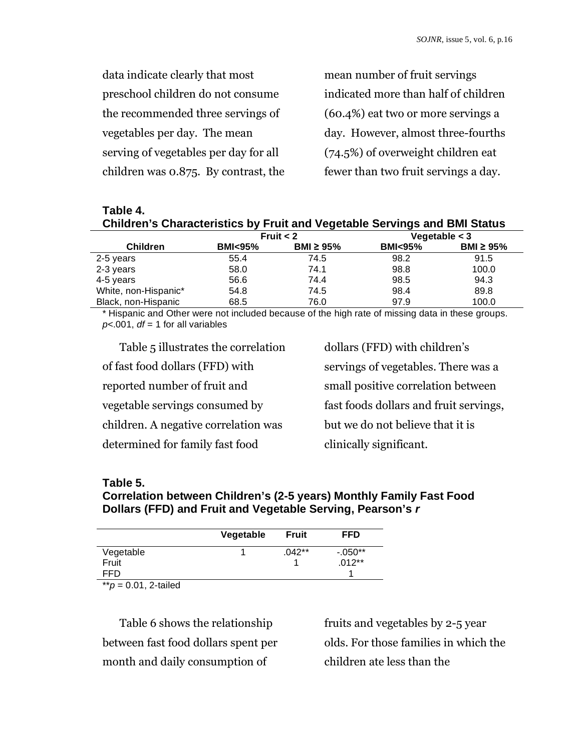| data indicate clearly that most       | mean number of fruit servings        |
|---------------------------------------|--------------------------------------|
| preschool children do not consume     | indicated more than half of children |
| the recommended three servings of     | (60.4%) eat two or more servings a   |
| vegetables per day. The mean          | day. However, almost three-fourths   |
| serving of vegetables per day for all | $(74.5%)$ of overweight children eat |
| children was 0.875. By contrast, the  | fewer than two fruit servings a day. |

| Table 4.<br><b>Children's Characteristics by Fruit and Vegetable Servings and BMI Status</b> |           |             |        |                 |
|----------------------------------------------------------------------------------------------|-----------|-------------|--------|-----------------|
|                                                                                              |           | Fruit $<$ 2 |        | Vegetable $<$ 3 |
| Childran                                                                                     | $RML-95%$ | RMI > 95%   | RMLQ5% | RMI > 95%       |

| <b>Children</b>      | <b>BMI&lt;95%</b> | BMI $\geq$ 95% | <br><b>BMI</b> <95% | BMI $\geq$ 95% |
|----------------------|-------------------|----------------|---------------------|----------------|
| 2-5 years            | 55.4              | 74.5           | 98.2                | 91.5           |
| 2-3 years            | 58.0              | 74.1           | 98.8                | 100.0          |
| 4-5 years            | 56.6              | 74.4           | 98.5                | 94.3           |
| White, non-Hispanic* | 54.8              | 74.5           | 98.4                | 89.8           |
| Black, non-Hispanic  | 68.5              | 76.0           | 97.9                | 100.0          |

\* Hispanic and Other were not included because of the high rate of missing data in these groups. *p<*.001, *df* = 1 for all variables

Table 5 illustrates the correlation of fast food dollars (FFD) with reported number of fruit and vegetable servings consumed by children. A negative correlation was determined for family fast food

dollars (FFD) with children's servings of vegetables. There was a small positive correlation between fast foods dollars and fruit servings, but we do not believe that it is clinically significant.

## **Table 5.**

## **Correlation between Children's (2-5 years) Monthly Family Fast Food Dollars (FFD) and Fruit and Vegetable Serving, Pearson's** *r*

|                 | Vegetable | <b>Fruit</b> | <b>FFD</b> |
|-----------------|-----------|--------------|------------|
| Vegetable       |           | $.042**$     | $-0.050**$ |
| Fruit           |           |              | $.012**$   |
| FFD             |           |              |            |
| all of the<br>. |           |              |            |

\*\**p* = 0.01, 2-tailed

Table 6 shows the relationship between fast food dollars spent per month and daily consumption of

fruits and vegetables by 2-5 year olds. For those families in which the children ate less than the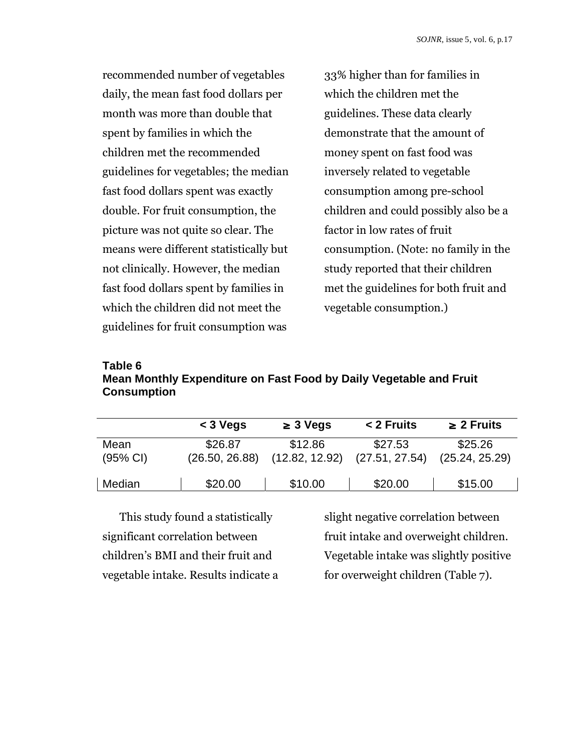recommended number of vegetables daily, the mean fast food dollars per month was more than double that spent by families in which the children met the recommended guidelines for vegetables; the median fast food dollars spent was exactly double. For fruit consumption, the picture was not quite so clear. The means were different statistically but not clinically. However, the median fast food dollars spent by families in which the children did not meet the guidelines for fruit consumption was

33% higher than for families in which the children met the guidelines. These data clearly demonstrate that the amount of money spent on fast food was inversely related to vegetable consumption among pre-school children and could possibly also be a factor in low rates of fruit consumption. (Note: no family in the study reported that their children met the guidelines for both fruit and vegetable consumption.)

## **Table 6 Mean Monthly Expenditure on Fast Food by Daily Vegetable and Fruit Consumption**

|                              | $<$ 3 Vegs                | $\geq 3$ Vegs             | < 2 Fruits                | $\geq$ 2 Fruits           |
|------------------------------|---------------------------|---------------------------|---------------------------|---------------------------|
| Mean<br>$(95% \, \text{Cl})$ | \$26.87<br>(26.50, 26.88) | \$12.86<br>(12.82, 12.92) | \$27.53<br>(27.51, 27.54) | \$25.26<br>(25.24, 25.29) |
| Median                       | \$20.00                   | \$10.00                   | \$20.00                   | \$15.00                   |

This study found a statistically significant correlation between children's BMI and their fruit and vegetable intake. Results indicate a slight negative correlation between fruit intake and overweight children. Vegetable intake was slightly positive for overweight children (Table 7).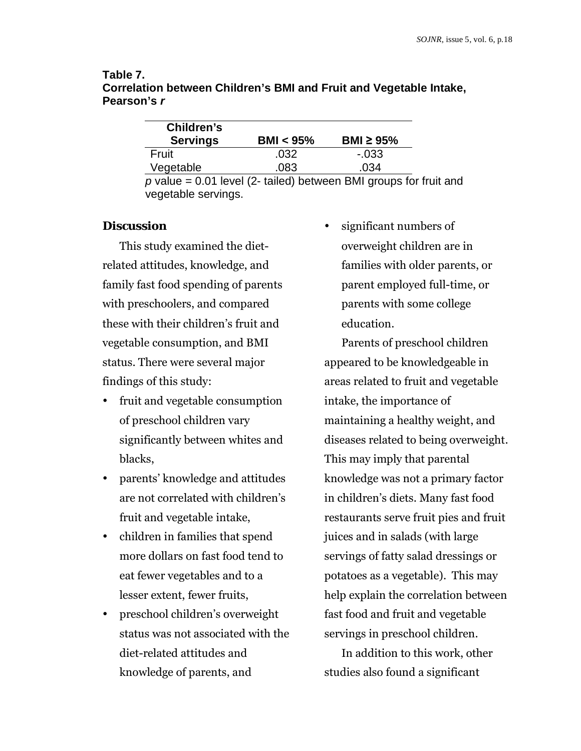| Table 7.                                                           |
|--------------------------------------------------------------------|
| Correlation between Children's BMI and Fruit and Vegetable Intake, |
| Pearson's r                                                        |

| Children's                                                |             |                |
|-----------------------------------------------------------|-------------|----------------|
| <b>Servings</b>                                           | BMI $<$ 95% | BMI $\geq$ 95% |
| Fruit                                                     | .032        | $-.033$        |
| Vegetable                                                 | .083        | .034           |
| $p$ value = 0.01 level (2- tailed) between RML groups for |             |                |

1 level (2- tailed) between BMI groups for fruit and vegetable servings.

## **Discussion**

This study examined the dietrelated attitudes, knowledge, and family fast food spending of parents with preschoolers, and compared these with their children's fruit and vegetable consumption, and BMI status. There were several major findings of this study:

- fruit and vegetable consumption of preschool children vary significantly between whites and blacks,
- parents' knowledge and attitudes are not correlated with children's fruit and vegetable intake,
- children in families that spend more dollars on fast food tend to eat fewer vegetables and to a lesser extent, fewer fruits,
- preschool children's overweight status was not associated with the diet-related attitudes and knowledge of parents, and

significant numbers of overweight children are in families with older parents, or parent employed full-time, or parents with some college education.

Parents of preschool children appeared to be knowledgeable in areas related to fruit and vegetable intake, the importance of maintaining a healthy weight, and diseases related to being overweight. This may imply that parental knowledge was not a primary factor in children's diets. Many fast food restaurants serve fruit pies and fruit juices and in salads (with large servings of fatty salad dressings or potatoes as a vegetable). This may help explain the correlation between fast food and fruit and vegetable servings in preschool children.

In addition to this work, other studies also found a significant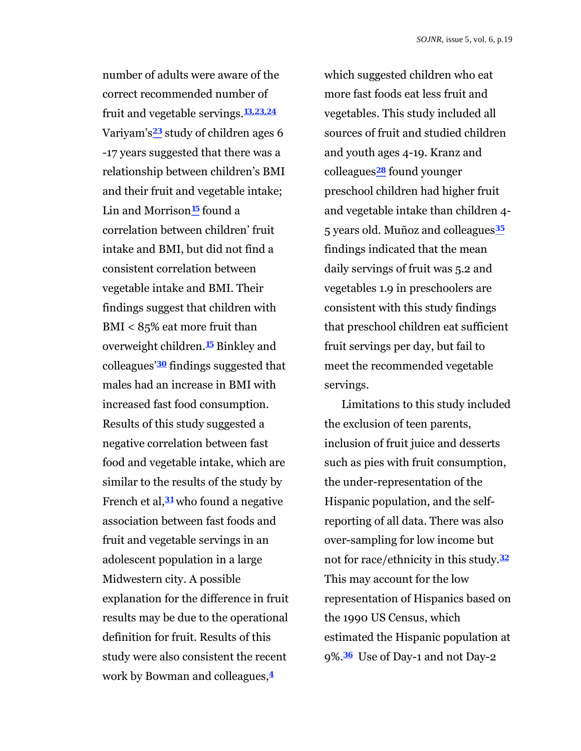number of adults were aware of the correct recommended number of fruit and vegetable servings.**13,23,24** Variyam's**23** study of children ages 6 -17 years suggested that there was a relationship between children's BMI and their fruit and vegetable intake; Lin and Morrison**15** found a correlation between children' fruit intake and BMI, but did not find a consistent correlation between vegetable intake and BMI. Their findings suggest that children with BMI < 85% eat more fruit than overweight children.**15** Binkley and colleagues'**30** findings suggested that males had an increase in BMI with increased fast food consumption. Results of this study suggested a negative correlation between fast food and vegetable intake, which are similar to the results of the study by French et al,**31** who found a negative association between fast foods and fruit and vegetable servings in an adolescent population in a large Midwestern city. A possible explanation for the difference in fruit results may be due to the operational definition for fruit. Results of this study were also consistent the recent work by Bowman and colleagues,**<sup>4</sup>**

which suggested children who eat more fast foods eat less fruit and vegetables. This study included all sources of fruit and studied children and youth ages 4-19. Kranz and colleagues**28** found younger preschool children had higher fruit and vegetable intake than children 4- 5 years old. Muñoz and colleagues**<sup>35</sup>** findings indicated that the mean daily servings of fruit was 5.2 and vegetables 1.9 in preschoolers are consistent with this study findings that preschool children eat sufficient fruit servings per day, but fail to meet the recommended vegetable servings.

Limitations to this study included the exclusion of teen parents, inclusion of fruit juice and desserts such as pies with fruit consumption, the under-representation of the Hispanic population, and the selfreporting of all data. There was also over-sampling for low income but not for race/ethnicity in this study.**<sup>32</sup>** This may account for the low representation of Hispanics based on the 1990 US Census, which estimated the Hispanic population at 9%.**36** Use of Day-1 and not Day-2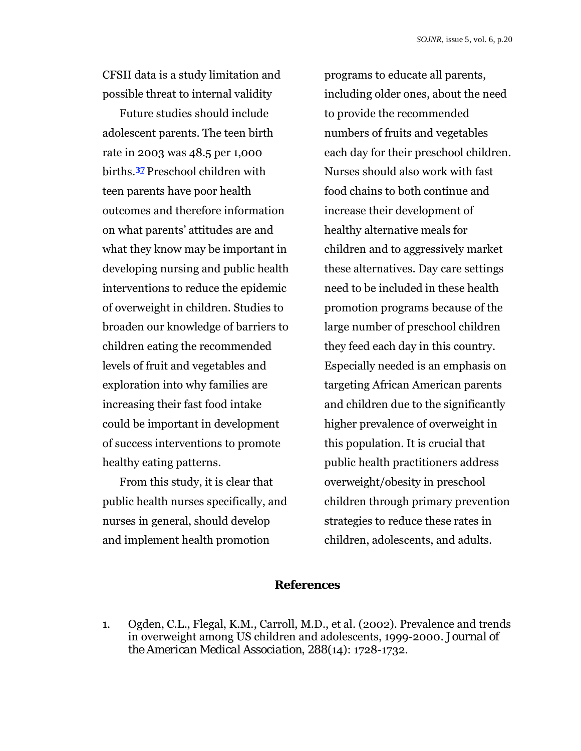CFSII data is a study limitation and possible threat to internal validity

Future studies should include adolescent parents. The teen birth rate in 2003 was 48.5 per 1,000 births.**37** Preschool children with teen parents have poor health outcomes and therefore information on what parents' attitudes are and what they know may be important in developing nursing and public health interventions to reduce the epidemic of overweight in children. Studies to broaden our knowledge of barriers to children eating the recommended levels of fruit and vegetables and exploration into why families are increasing their fast food intake could be important in development of success interventions to promote healthy eating patterns.

From this study, it is clear that public health nurses specifically, and nurses in general, should develop and implement health promotion

programs to educate all parents, including older ones, about the need to provide the recommended numbers of fruits and vegetables each day for their preschool children. Nurses should also work with fast food chains to both continue and increase their development of healthy alternative meals for children and to aggressively market these alternatives. Day care settings need to be included in these health promotion programs because of the large number of preschool children they feed each day in this country. Especially needed is an emphasis on targeting African American parents and children due to the significantly higher prevalence of overweight in this population. It is crucial that public health practitioners address overweight/obesity in preschool children through primary prevention strategies to reduce these rates in children, adolescents, and adults.

## **References**

1. Ogden, C.L., Flegal, K.M., Carroll, M.D., et al. (2002). Prevalence and trends in overweight among US children and adolescents, 1999-2000*. Journal of the American Medical Association*, *288*(14): 1728-1732.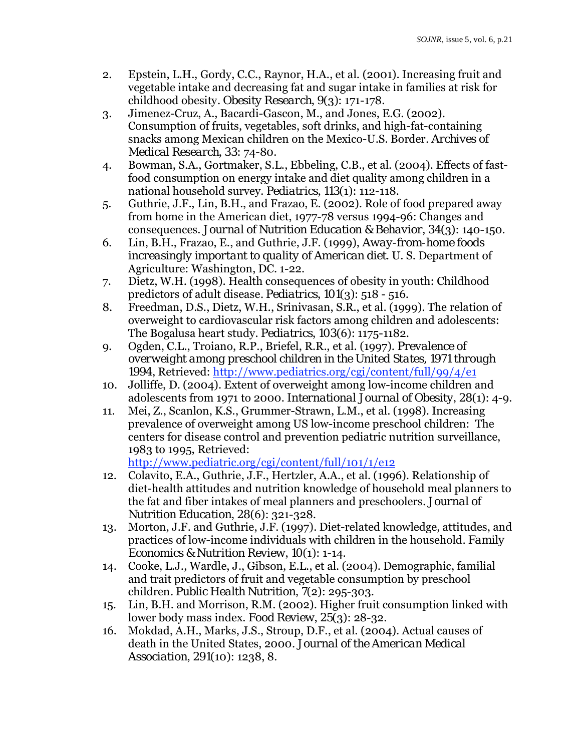- 2. Epstein, L.H., Gordy, C.C., Raynor, H.A., et al. (2001). Increasing fruit and vegetable intake and decreasing fat and sugar intake in families at risk for childhood obesity*. Obesity Research*, *9*(3): 171-178.
- 3. Jimenez-Cruz, A., Bacardi-Gascon, M., and Jones, E.G. (2002). Consumption of fruits, vegetables, soft drinks, and high-fat-containing snacks among Mexican children on the Mexico-U.S. Border*. Archives of Medical Research*, *33*: 74-80.
- 4. Bowman, S.A., Gortmaker, S.L., Ebbeling, C.B., et al. (2004). Effects of fastfood consumption on energy intake and diet quality among children in a national household survey. *Pediatrics*, *113*(1): 112-118.
- 5. Guthrie, J.F., Lin, B.H., and Frazao, E. (2002). Role of food prepared away from home in the American diet, 1977-78 versus 1994-96: Changes and consequences. *Journal of Nutrition Education & Behavior*, *34*(3): 140-150.
- 6. Lin, B.H., Frazao, E., and Guthrie, J.F. (1999), *Away-from-home foods increasingly important to quality of American diet*. U. S. Department of Agriculture: Washington, DC. 1-22.
- 7. Dietz, W.H. (1998). Health consequences of obesity in youth: Childhood predictors of adult disease*. Pediatrics*, *101*(3): 518 - 516.
- 8. Freedman, D.S., Dietz, W.H., Srinivasan, S.R., et al. (1999). The relation of overweight to cardiovascular risk factors among children and adolescents: The Bogalusa heart study. *Pediatrics*, *103*(6): 1175-1182.
- 9. Ogden, C.L., Troiano, R.P., Briefel, R.R., et al. (1997). *Prevalence of overweight among preschool children in the United States, 1971 through 1994*, Retrieved:<http://www.pediatrics.org/cgi/content/full/99/4/e1>
- 10. Jolliffe, D. (2004). Extent of overweight among low-income children and adolescents from 1971 to 2000. *International Journal of Obesity*, *28*(1): 4-9.
- 11. Mei, Z., Scanlon, K.S., Grummer-Strawn, L.M., et al. (1998). Increasing prevalence of overweight among US low-income preschool children: The centers for disease control and prevention pediatric nutrition surveillance, 1983 to 1995, Retrieved:

<http://www.pediatric.org/cgi/content/full/101/1/e12>

- 12. Colavito, E.A., Guthrie, J.F., Hertzler, A.A., et al. (1996). Relationship of diet-health attitudes and nutrition knowledge of household meal planners to the fat and fiber intakes of meal planners and preschoolers*. Journal of Nutrition Education*, *28*(6): 321-328.
- 13. Morton, J.F. and Guthrie, J.F. (1997). Diet-related knowledge, attitudes, and practices of low-income individuals with children in the household*. Family Economics & Nutrition Review*, *10*(1): 1-14.
- 14. Cooke, L.J., Wardle, J., Gibson, E.L., et al. (2004). Demographic, familial and trait predictors of fruit and vegetable consumption by preschool children*. Public Health Nutrition*, *7*(2): 295-303.
- 15. Lin, B.H. and Morrison, R.M. (2002). Higher fruit consumption linked with lower body mass index. *Food Review*, *25*(3): 28-32.
- 16. Mokdad, A.H., Marks, J.S., Stroup, D.F., et al. (2004). Actual causes of death in the United States, 2000*. Journal of the American Medical Association*, *291*(10): 1238, 8.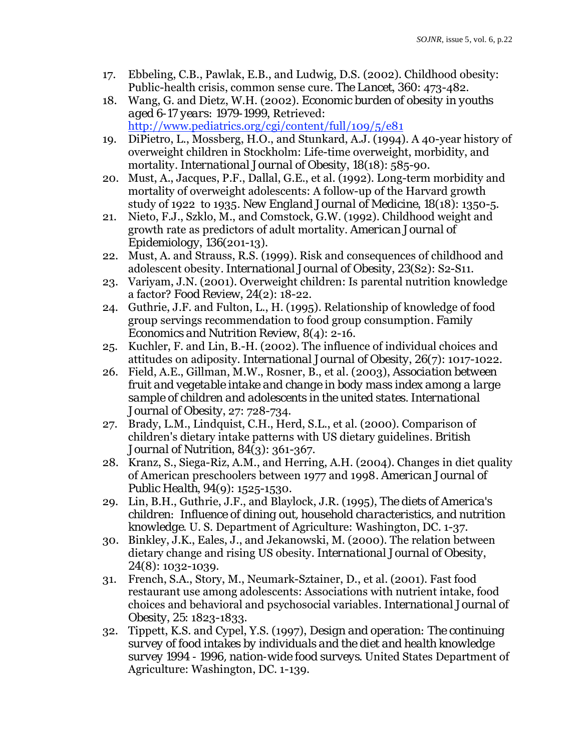- 17. Ebbeling, C.B., Pawlak, E.B., and Ludwig, D.S. (2002). Childhood obesity: Public-health crisis, common sense cure*. The Lancet*, *360*: 473-482.
- 18. Wang, G. and Dietz, W.H. (2002). *Economic burden of obesity in youths aged 6-17 years: 1979-1999*, Retrieved: <http://www.pediatrics.org/cgi/content/full/109/5/e81>
- 19. DiPietro, L., Mossberg, H.O., and Stunkard, A.J. (1994). A 40-year history of overweight children in Stockholm: Life-time overweight, morbidity, and mortality*. International Journal of Obesity*, *18*(18): 585-90.
- 20. Must, A., Jacques, P.F., Dallal, G.E., et al. (1992). Long-term morbidity and mortality of overweight adolescents: A follow-up of the Harvard growth study of 1922 to 1935*. New England Journal of Medicine*, *18*(18): 1350-5.
- 21. Nieto, F.J., Szklo, M., and Comstock, G.W. (1992). Childhood weight and growth rate as predictors of adult mortality*. American Journal of Epidemiology*, *136*(201-13).
- 22. Must, A. and Strauss, R.S. (1999). Risk and consequences of childhood and adolescent obesity*. International Journal of Obesity*, *23*(S2): S2-S11.
- 23. Variyam, J.N. (2001). Overweight children: Is parental nutrition knowledge a factor? *Food Review*, *24*(2): 18-22.
- 24. Guthrie, J.F. and Fulton, L., H. (1995). Relationship of knowledge of food group servings recommendation to food group consumption*. Family Economics and Nutrition Review*, *8*(4): 2-16.
- 25. Kuchler, F. and Lin, B.-H. (2002). The influence of individual choices and attitudes on adiposity. *International Journal of Obesity*, *26*(7): 1017-1022.
- 26. Field, A.E., Gillman, M.W., Rosner, B., et al. (2003), *Association between fruit and vegetable intake and change in body mass index among a large sample of children and adolescents in the united states. International Journal of Obesity*, 27: 728-734.
- 27. Brady, L.M., Lindquist, C.H., Herd, S.L., et al. (2000). Comparison of children's dietary intake patterns with US dietary guidelines*. British Journal of Nutrition*, *84*(3): 361-367.
- 28. Kranz, S., Siega-Riz, A.M., and Herring, A.H. (2004). Changes in diet quality of American preschoolers between 1977 and 1998*. American Journal of Public Health*, *94*(9): 1525-1530.
- 29. Lin, B.H., Guthrie, J.F., and Blaylock, J.R. (1995), *The diets of America's children: Influence of dining out, household characteristics, and nutrition knowledge*. U. S. Department of Agriculture: Washington, DC. 1-37.
- 30. Binkley, J.K., Eales, J., and Jekanowski, M. (2000). The relation between dietary change and rising US obesity. *International Journal of Obesity*, *24*(8): 1032-1039.
- 31. French, S.A., Story, M., Neumark-Sztainer, D., et al. (2001). Fast food restaurant use among adolescents: Associations with nutrient intake, food choices and behavioral and psychosocial variables*. International Journal of Obesity*, *25*: 1823-1833.
- 32. Tippett, K.S. and Cypel, Y.S. (1997), *Design and operation: The continuing survey of food intakes by individuals and the diet and health knowledge survey 1994 - 1996, nation-wide food surveys*. United States Department of Agriculture: Washington, DC. 1-139.